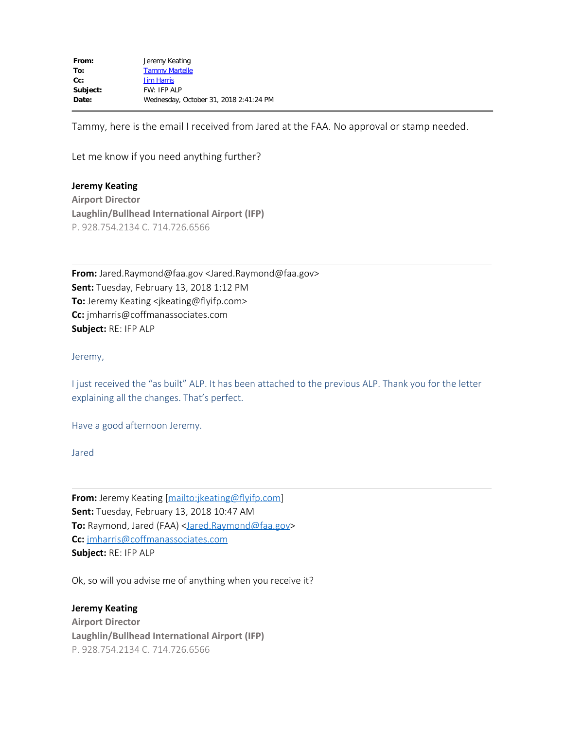Tammy, here is the email I received from Jared at the FAA. No approval or stamp needed.

Let me know if you need anything further?

**Jeremy Keating Airport Director Laughlin/Bullhead International Airport (IFP)** P. 928.754.2134 C. 714.726.6566

**From:** Jared.Raymond@faa.gov <Jared.Raymond@faa.gov> **Sent:** Tuesday, February 13, 2018 1:12 PM **To:** Jeremy Keating <jkeating@flyifp.com> **Cc:** jmharris@coffmanassociates.com **Subject:** RE: IFP ALP

Jeremy,

I just received the "as built" ALP. It has been attached to the previous ALP. Thank you for the letter explaining all the changes. That's perfect.

Have a good afternoon Jeremy.

Jared

**From:** Jeremy Keating [\[mailto:jkeating@flyifp.com](mailto:jkeating@flyifp.com)] **Sent:** Tuesday, February 13, 2018 10:47 AM **To:** Raymond, Jared (FAA) <*[Jared.Raymond@faa.gov>](mailto:Jared.Raymond@faa.gov)* **Cc:** [jmharris@coffmanassociates.com](mailto:jmharris@coffmanassociates.com) **Subject:** RE: IFP ALP

Ok, so will you advise me of anything when you receive it?

## **Jeremy Keating**

**Airport Director Laughlin/Bullhead International Airport (IFP)** P. 928.754.2134 C. 714.726.6566